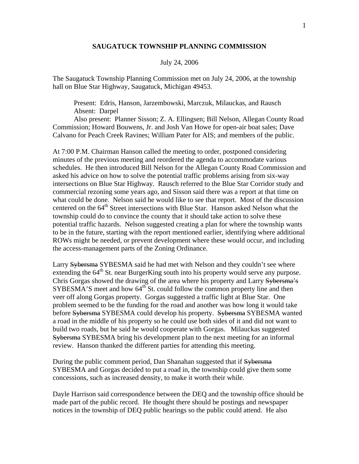## **SAUGATUCK TOWNSHIP PLANNING COMMISSION**

## July 24, 2006

The Saugatuck Township Planning Commission met on July 24, 2006, at the township hall on Blue Star Highway, Saugatuck, Michigan 49453.

 Present: Edris, Hanson, Jarzembowski, Marczuk, Milauckas, and Rausch Absent: Darpel

 Also present: Planner Sisson; Z. A. Ellingsen; Bill Nelson, Allegan County Road Commission; Howard Bouwens, Jr. and Josh Van Howe for open-air boat sales; Dave Calvano for Peach Creek Ravines; William Pater for AIS; and members of the public.

At 7:00 P.M. Chairman Hanson called the meeting to order, postponed considering minutes of the previous meeting and reordered the agenda to accommodate various schedules. He then introduced Bill Nelson for the Allegan County Road Commission and asked his advice on how to solve the potential traffic problems arising from six-way intersections on Blue Star Highway. Rausch referred to the Blue Star Corridor study and commercial rezoning some years ago, and Sisson said there was a report at that time on what could be done. Nelson said he would like to see that report. Most of the discussion centered on the  $64<sup>th</sup>$  Street intersections with Blue Star. Hanson asked Nelson what the township could do to convince the county that it should take action to solve these potential traffic hazards. Nelson suggested creating a plan for where the township wants to be in the future, starting with the report mentioned earlier, identifying where additional ROWs might be needed, or prevent development where these would occur, and including the access-management parts of the Zoning Ordinance.

Larry Sybersma SYBESMA said he had met with Nelson and they couldn't see where extending the 64<sup>th</sup> St. near BurgerKing south into his property would serve any purpose. Chris Gorgas showed the drawing of the area where his property and Larry Sybersma's  $SYBESMA'S$  meet and how  $64<sup>th</sup>$  St. could follow the common property line and then veer off along Gorgas property. Gorgas suggested a traffic light at Blue Star. One problem seemed to be the funding for the road and another was how long it would take before Sybersma SYBESMA could develop his property. Sybersma SYBESMA wanted a road in the middle of his property so he could use both sides of it and did not want to build two roads, but he said he would cooperate with Gorgas. Milauckas suggested Sybersma SYBESMA bring his development plan to the next meeting for an informal review. Hanson thanked the different parties for attending this meeting.

During the public comment period, Dan Shanahan suggested that if Sybersma SYBESMA and Gorgas decided to put a road in, the township could give them some concessions, such as increased density, to make it worth their while.

Dayle Harrison said correspondence between the DEQ and the township office should be made part of the public record. He thought there should be postings and newspaper notices in the township of DEQ public hearings so the public could attend. He also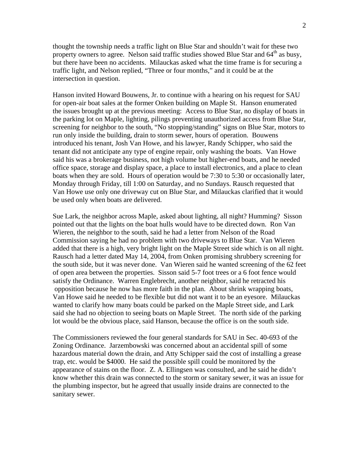thought the township needs a traffic light on Blue Star and shouldn't wait for these two property owners to agree. Nelson said traffic studies showed Blue Star and  $64<sup>th</sup>$  as busy, but there have been no accidents. Milauckas asked what the time frame is for securing a traffic light, and Nelson replied, "Three or four months," and it could be at the intersection in question.

Hanson invited Howard Bouwens, Jr. to continue with a hearing on his request for SAU for open-air boat sales at the former Onken building on Maple St. Hanson enumerated the issues brought up at the previous meeting: Access to Blue Star, no display of boats in the parking lot on Maple, lighting, pilings preventing unauthorized access from Blue Star, screening for neighbor to the south, "No stopping/standing" signs on Blue Star, motors to run only inside the building, drain to storm sewer, hours of operation. Bouwens introduced his tenant, Josh Van Howe, and his lawyer, Randy Schipper, who said the tenant did not anticipate any type of engine repair, only washing the boats. Van Howe said his was a brokerage business, not high volume but higher-end boats, and he needed office space, storage and display space, a place to install electronics, and a place to clean boats when they are sold. Hours of operation would be 7:30 to 5:30 or occasionally later, Monday through Friday, till 1:00 on Saturday, and no Sundays. Rausch requested that Van Howe use only one driveway cut on Blue Star, and Milauckas clarified that it would be used only when boats are delivered.

Sue Lark, the neighbor across Maple, asked about lighting, all night? Humming? Sisson pointed out that the lights on the boat hulls would have to be directed down. Ron Van Wieren, the neighbor to the south, said he had a letter from Nelson of the Road Commission saying he had no problem with two driveways to Blue Star. Van Wieren added that there is a high, very bright light on the Maple Street side which is on all night. Rausch had a letter dated May 14, 2004, from Onken promising shrubbery screening for the south side, but it was never done. Van Wieren said he wanted screening of the 62 feet of open area between the properties. Sisson said 5-7 foot trees or a 6 foot fence would satisfy the Ordinance. Warren Englebrecht, another neighbor, said he retracted his opposition because he now has more faith in the plan. About shrink wrapping boats, Van Howe said he needed to be flexible but did not want it to be an eyesore. Milauckas wanted to clarify how many boats could be parked on the Maple Street side, and Lark said she had no objection to seeing boats on Maple Street. The north side of the parking lot would be the obvious place, said Hanson, because the office is on the south side.

The Commissioners reviewed the four general standards for SAU in Sec. 40-693 of the Zoning Ordinance. Jarzembowski was concerned about an accidental spill of some hazardous material down the drain, and Atty Schipper said the cost of installing a grease trap, etc. would be \$4000. He said the possible spill could be monitored by the appearance of stains on the floor. Z. A. Ellingsen was consulted, and he said he didn't know whether this drain was connected to the storm or sanitary sewer, it was an issue for the plumbing inspector, but he agreed that usually inside drains are connected to the sanitary sewer.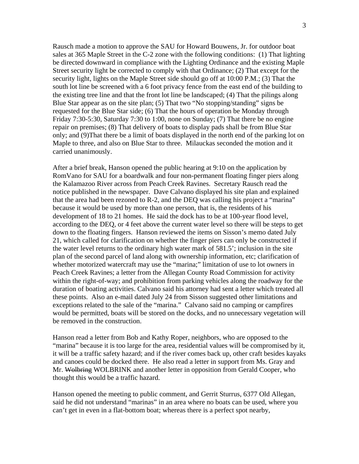Rausch made a motion to approve the SAU for Howard Bouwens, Jr. for outdoor boat sales at 365 Maple Street in the C-2 zone with the following conditions: (1) That lighting be directed downward in compliance with the Lighting Ordinance and the existing Maple Street security light be corrected to comply with that Ordinance; (2) That except for the security light, lights on the Maple Street side should go off at 10:00 P.M.; (3) That the south lot line be screened with a 6 foot privacy fence from the east end of the building to the existing tree line and that the front lot line be landscaped; (4) That the pilings along Blue Star appear as on the site plan; (5) That two "No stopping/standing" signs be requested for the Blue Star side; (6) That the hours of operation be Monday through Friday 7:30-5:30, Saturday 7:30 to 1:00, none on Sunday; (7) That there be no engine repair on premises; (8) That delivery of boats to display pads shall be from Blue Star only; and (9)That there be a limit of boats displayed in the north end of the parking lot on Maple to three, and also on Blue Star to three. Milauckas seconded the motion and it carried unanimously.

After a brief break, Hanson opened the public hearing at 9:10 on the application by RomVano for SAU for a boardwalk and four non-permanent floating finger piers along the Kalamazoo River across from Peach Creek Ravines. Secretary Rausch read the notice published in the newspaper. Dave Calvano displayed his site plan and explained that the area had been rezoned to R-2, and the DEQ was calling his project a "marina" because it would be used by more than one person, that is, the residents of his development of 18 to 21 homes. He said the dock has to be at 100-year flood level, according to the DEQ, or 4 feet above the current water level so there will be steps to get down to the floating fingers. Hanson reviewed the items on Sisson's memo dated July 21, which called for clarification on whether the finger piers can only be constructed if the water level returns to the ordinary high water mark of 581.5'; inclusion in the site plan of the second parcel of land along with ownership information, etc; clarification of whether motorized watercraft may use the "marina;" limitation of use to lot owners in Peach Creek Ravines; a letter from the Allegan County Road Commission for activity within the right-of-way; and prohibition from parking vehicles along the roadway for the duration of boating activities. Calvano said his attorney had sent a letter which treated all these points. Also an e-mail dated July 24 from Sisson suggested other limitations and exceptions related to the sale of the "marina." Calvano said no camping or campfires would be permitted, boats will be stored on the docks, and no unnecessary vegetation will be removed in the construction.

Hanson read a letter from Bob and Kathy Roper, neighbors, who are opposed to the "marina" because it is too large for the area, residential values will be compromised by it, it will be a traffic safety hazard; and if the river comes back up, other craft besides kayaks and canoes could be docked there. He also read a letter in support from Ms. Gray and Mr. Wolbring WOLBRINK and another letter in opposition from Gerald Cooper, who thought this would be a traffic hazard.

Hanson opened the meeting to public comment, and Gerrit Sturrus, 6377 Old Allegan, said he did not understand "marinas" in an area where no boats can be used, where you can't get in even in a flat-bottom boat; whereas there is a perfect spot nearby,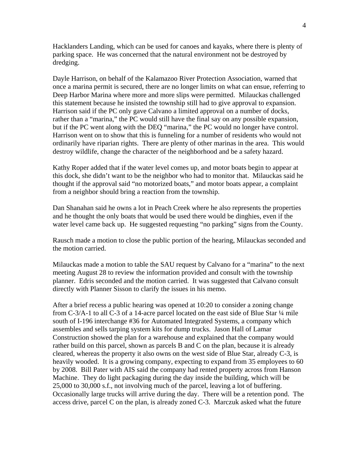Hacklanders Landing, which can be used for canoes and kayaks, where there is plenty of parking space. He was concerned that the natural environment not be destroyed by dredging.

Dayle Harrison, on behalf of the Kalamazoo River Protection Association, warned that once a marina permit is secured, there are no longer limits on what can ensue, referring to Deep Harbor Marina where more and more slips were permitted. Milauckas challenged this statement because he insisted the township still had to give approval to expansion. Harrison said if the PC only gave Calvano a limited approval on a number of docks, rather than a "marina," the PC would still have the final say on any possible expansion, but if the PC went along with the DEQ "marina," the PC would no longer have control. Harrison went on to show that this is funneling for a number of residents who would not ordinarily have riparian rights. There are plenty of other marinas in the area. This would destroy wildlife, change the character of the neighborhood and be a safety hazard.

Kathy Roper added that if the water level comes up, and motor boats begin to appear at this dock, she didn't want to be the neighbor who had to monitor that. Milauckas said he thought if the approval said "no motorized boats," and motor boats appear, a complaint from a neighbor should bring a reaction from the township.

Dan Shanahan said he owns a lot in Peach Creek where he also represents the properties and he thought the only boats that would be used there would be dinghies, even if the water level came back up. He suggested requesting "no parking" signs from the County.

Rausch made a motion to close the public portion of the hearing, Milauckas seconded and the motion carried.

Milauckas made a motion to table the SAU request by Calvano for a "marina" to the next meeting August 28 to review the information provided and consult with the township planner. Edris seconded and the motion carried. It was suggested that Calvano consult directly with Planner Sisson to clarify the issues in his memo.

After a brief recess a public hearing was opened at 10:20 to consider a zoning change from C-3/A-1 to all C-3 of a 14-acre parcel located on the east side of Blue Star ¼ mile south of I-196 interchange #36 for Automated Integrated Systems, a company which assembles and sells tarping system kits for dump trucks. Jason Hall of Lamar Construction showed the plan for a warehouse and explained that the company would rather build on this parcel, shown as parcels B and C on the plan, because it is already cleared, whereas the property it also owns on the west side of Blue Star, already C-3, is heavily wooded. It is a growing company, expecting to expand from 35 employees to 60 by 2008. Bill Pater with AIS said the company had rented property across from Hanson Machine. They do light packaging during the day inside the building, which will be 25,000 to 30,000 s.f., not involving much of the parcel, leaving a lot of buffering. Occasionally large trucks will arrive during the day. There will be a retention pond. The access drive, parcel C on the plan, is already zoned C-3. Marczuk asked what the future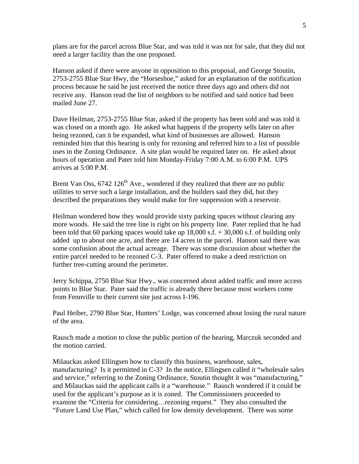plans are for the parcel across Blue Star, and was told it was not for sale, that they did not need a larger facility than the one proposed.

Hanson asked if there were anyone in opposition to this proposal, and George Stoutin, 2753-2755 Blue Star Hwy, the "Horseshoe," asked for an explanation of the notification process because he said he just received the notice three days ago and others did not receive any. Hanson read the list of neighbors to be notified and said notice had been mailed June 27.

Dave Heilman, 2753-2755 Blue Star, asked if the property has been sold and was told it was closed on a month ago. He asked what happens if the property sells later on after being rezoned, can it be expanded, what kind of businesses are allowed. Hanson reminded him that this hearing is only for rezoning and referred him to a list of possible uses in the Zoning Ordinance. A site plan would be required later on. He asked about hours of operation and Pater told him Monday-Friday 7:00 A.M. to 6:00 P.M. UPS arrives at 5:00 P.M.

Brent Van Oss,  $6742 \times 126^{th}$  Ave., wondered if they realized that there are no public utilities to serve such a large installation, and the builders said they did, but they described the preparations they would make for fire suppression with a reservoir.

Heilman wondered how they would provide sixty parking spaces without clearing any more woods. He said the tree line is right on his property line. Pater replied that he had been told that 60 parking spaces would take up  $18,000$  s.f.  $+ 30,000$  s.f. of building only added up to about one acre, and there are 14 acres in the parcel. Hanson said there was some confusion about the actual acreage. There was some discussion about whether the entire parcel needed to be rezoned C-3. Pater offered to make a deed restriction on further tree-cutting around the perimeter.

Jerry Schippa, 2750 Blue Star Hwy., was concerned about added traffic and more access points to Blue Star. Pater said the traffic is already there because most workers come from Fennville to their current site just across I-196.

Paul Heiber, 2790 Blue Star, Hunters' Lodge, was concerned about losing the rural nature of the area.

Rausch made a motion to close the public portion of the hearing, Marczuk seconded and the motion carried.

Milauckas asked Ellingsen how to classify this business, warehouse, sales, manufacturing? Is it permitted in C-3? In the notice, Ellingsen called it "wholesale sales and service," referring to the Zoning Ordinance, Stoutin thought it was "manufacturing," and Milauckas said the applicant calls it a "warehouse." Rausch wondered if it could be used for the applicant's purpose as it is zoned. The Commissioners proceeded to examine the "Criteria for considering…rezoning request." They also consulted the "Future Land Use Plan," which called for low density development. There was some